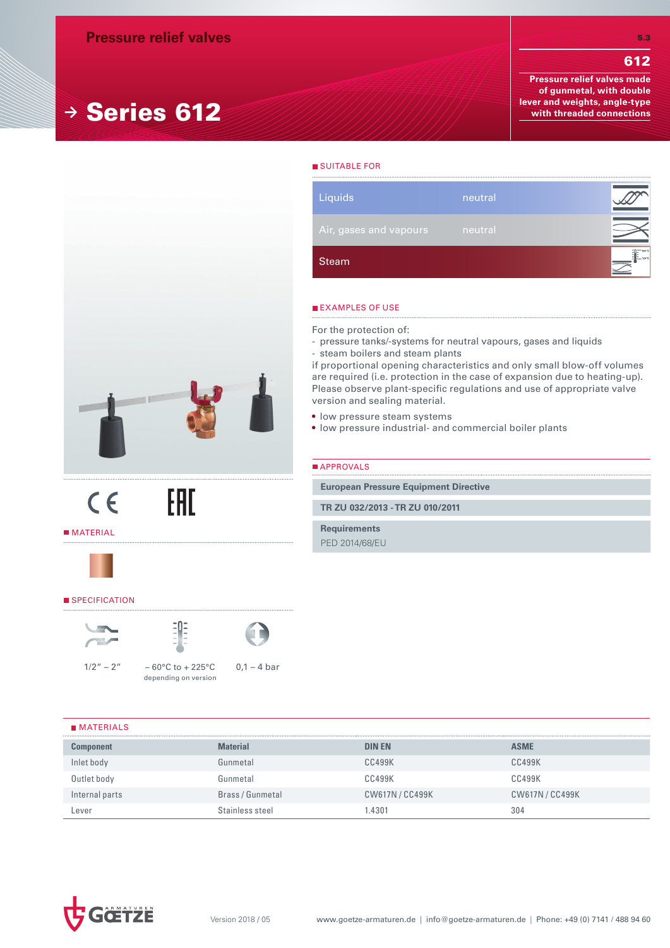# **<sup>→</sup>** Series 612

612 **Pressure relief valves made of gunmetal, with double lever and weights, angle-type with threaded connections**

5.3



EAC

**MATERIAL** 



 $C<sub>f</sub>$ 

#### SPECIFICATION





 $1/2'' - 2'' - 60^{\circ}$ C to + 225°C depending on version



 $0,1 - 4$  bar

#### **MATERIALS**

| <b>Component</b> | <b>Material</b>  | <b>DIN EN</b>   | <b>ASME</b>     |
|------------------|------------------|-----------------|-----------------|
| Inlet body       | Gunmetal         | CC499K          | <b>CC499K</b>   |
| Outlet body      | Gunmetal         | CC499K          | <b>CC499K</b>   |
| Internal parts   | Brass / Gunmetal | CW617N / CC499K | CW617N / CC499K |
| Lever            | Stainless steel  | .4301           | 304             |



# **TR ZU 032/2013 - TR ZU 010/2011 Requirements** PED 2014/68/EU

neutral

- pressure tanks/-systems for neutral vapours, gases and liquids

if proportional opening characteristics and only small blow-off volumes are required (i.e. protection in the case of expansion due to heating-up). Please observe plant-specific regulations and use of appropriate valve

• low pressure steam systems • low pressure industrial- and commercial boiler plants

version and sealing material.

- steam boilers and steam plants

#### **APPROVALS**

Steam and the state

**EXAMPLES OF USE** 

For the protection of:

**SUITABLE FOR** 

**Liquids** 

**European Pressure Equipment Directive**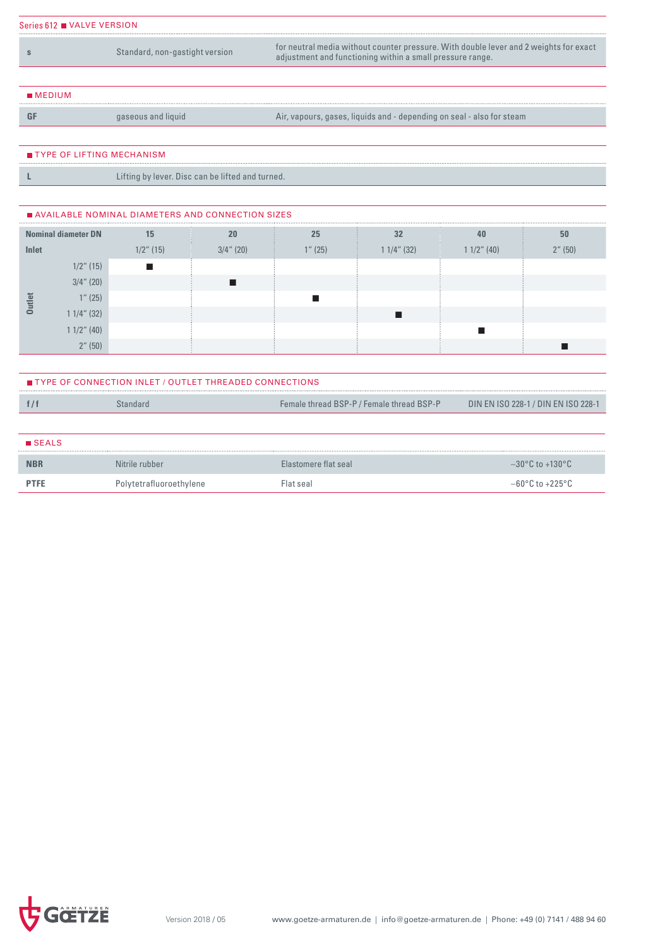Series 612 VALVE VERSION

s Standard, non-gastight version for neutral media without counter pressure. With double lever and 2 weights for exact<br>adjustment and functioning within a small pressure range.

**MEDIUM** 

GF gaseous and liquid Air, vapours, gases, liquids and - depending on seal - also for steam

TYPE OF LIFTING MECHANISM

**L** Lifting by lever. Disc can be lifted and turned.

# AVAILABLE NOMINAL DIAMETERS AND CONNECTION SIZES

| <b>Nominal diameter DN</b> |               | 15           | 20      | 25            | 32            | 40      | 50 |
|----------------------------|---------------|--------------|---------|---------------|---------------|---------|----|
| $1/2$ " (15)<br>Inlet      |               | $3/4$ " (20) | 1''(25) | $11/4$ " (32) | $11/2$ " (40) | 2''(50) |    |
|                            | $1/2$ " (15)  | П            |         |               |               |         |    |
|                            | $3/4$ " (20)  |              |         |               |               |         |    |
| <b>Outlet</b>              | $1''$ (25)    |              |         |               |               |         |    |
|                            | $11/4$ " (32) |              |         |               |               |         |    |
|                            | $11/2$ " (40) |              |         |               |               |         |    |
|                            | 2''(50)       |              |         |               |               |         |    |

| <b>TIONS</b><br>.- OF CONNECTION INLET / OUTLET THREADED CONNECT |  |
|------------------------------------------------------------------|--|
|                                                                  |  |
|                                                                  |  |

| Standard | Female thread BSP-P / Female thread BSP-P | DIN EN ISO 228-1 / DIN EN ISO 228-1 |
|----------|-------------------------------------------|-------------------------------------|
|          |                                           |                                     |

| <b>SEALS</b> |                         |                      |                                      |
|--------------|-------------------------|----------------------|--------------------------------------|
| <b>NBR</b>   | Nitrile rubber          | Elastomere flat seal | $-30^{\circ}$ C to +130 $^{\circ}$ C |
| <b>PTFE</b>  | Polytetrafluoroethylene | Flat seal            | $-60^{\circ}$ C to $+225^{\circ}$ C  |

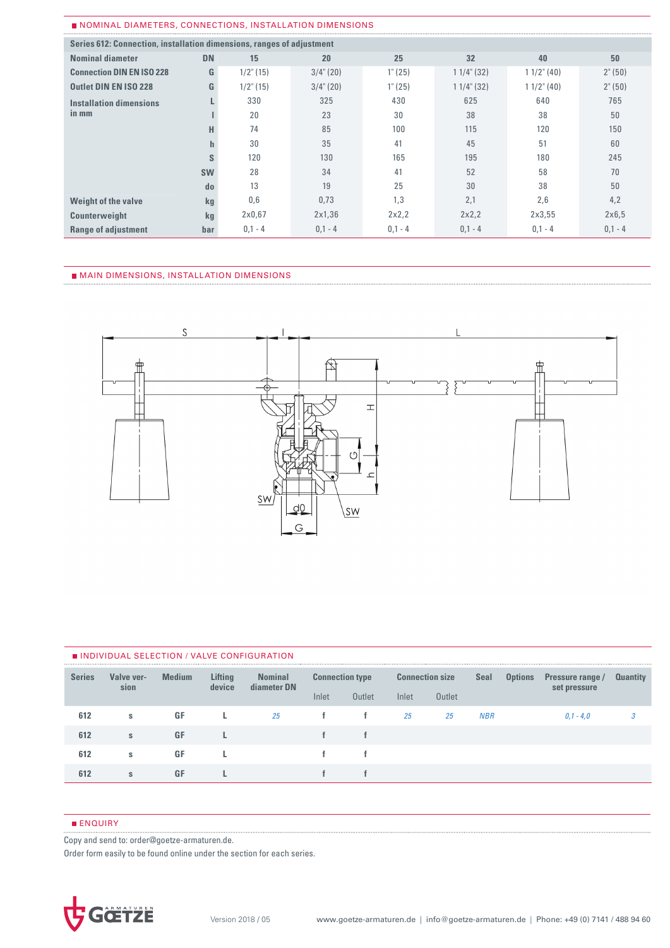#### NOMINAL DIAMETERS, CONNECTIONS, INSTALLATION DIMENSIONS

| Series 612: Connection, installation dimensions, ranges of adjustment |           |               |              |                  |               |               |                  |  |  |  |  |
|-----------------------------------------------------------------------|-----------|---------------|--------------|------------------|---------------|---------------|------------------|--|--|--|--|
| <b>Nominal diameter</b>                                               | <b>DN</b> | 15            | 20           | 25               | 32            | 40            | 50               |  |  |  |  |
| <b>Connection DIN EN ISO 228</b>                                      | G         | $1/2$ " (15)  | $3/4$ " (20) | 1" (25)          | $11/4$ " (32) | $11/2$ " (40) | $2^{\circ} (50)$ |  |  |  |  |
| <b>Outlet DIN EN ISO 228</b>                                          | G         | $1/2$ " (15)  | $3/4$ " (20) | $1^{\circ}$ (25) | $11/4$ " (32) | $11/2$ " (40) | $2^{\circ} (50)$ |  |  |  |  |
| <b>Installation dimensions</b>                                        |           | 330           | 325          | 430              | 625           | 640           | 765              |  |  |  |  |
| in mm                                                                 |           | 20            | 23           | 30               | 38            | 38            | 50               |  |  |  |  |
|                                                                       | н         | 74            | 85           | 100              | 115           | 120           | 150              |  |  |  |  |
|                                                                       |           | 30            | 35           | 41               | 45            | 51            | 60               |  |  |  |  |
|                                                                       | S         | 120           | 130          | 165              | 195           | 180           | 245              |  |  |  |  |
|                                                                       | <b>SW</b> | 28            | 34           | 41               | 52            | 58            | 70               |  |  |  |  |
|                                                                       | do        | 13            | 19           | 25               | 30            | 38            | 50               |  |  |  |  |
| <b>Weight of the valve</b>                                            | kg        | 0,6           | 0,73         | 1,3              | 2,1           | 2,6           | 4,2              |  |  |  |  |
| Counterweight                                                         | kg        | $2\times0.67$ | 2x1,36       | 2x2,2            | 2x2,2         | 2x3,55        | 2x6,5            |  |  |  |  |
| <b>Range of adjustment</b>                                            | bar       | $0,1 - 4$     | $0,1 - 4$    | $0.1 - 4$        | $0,1 - 4$     | $0,1 - 4$     | $0,1 - 4$        |  |  |  |  |

## MAIN DIMENSIONS, INSTALLATION DIMENSIONS



| INDIVIDUAL SELECTION / VALVE CONFIGURATION |   |               |                   |                               |       |                        |       |                        |            |                |                  |                 |
|--------------------------------------------|---|---------------|-------------------|-------------------------------|-------|------------------------|-------|------------------------|------------|----------------|------------------|-----------------|
| Valve ver-<br><b>Series</b><br>sion        |   | <b>Medium</b> | Lifting<br>device | <b>Nominal</b><br>diameter DN |       | <b>Connection type</b> |       | <b>Connection size</b> |            | <b>Options</b> | Pressure range / | <b>Quantity</b> |
|                                            |   |               |                   |                               | Inlet | Outlet                 | Inlet | Outlet                 |            |                | set pressure     |                 |
| 612                                        | s | <b>GF</b>     |                   | 25                            |       |                        | 25    | 25                     | <b>NBR</b> |                | $0.1 - 4.0$      |                 |
| 612                                        | s | <b>GF</b>     |                   |                               |       |                        |       |                        |            |                |                  |                 |
| 612                                        | s | <b>GF</b>     |                   |                               |       |                        |       |                        |            |                |                  |                 |
| 612                                        | S | <b>GF</b>     |                   |                               |       |                        |       |                        |            |                |                  |                 |

## **ENQUIRY**

Copy and send to: order@goetze-armaturen.de.

Order form easily to be found online under the section for each series.